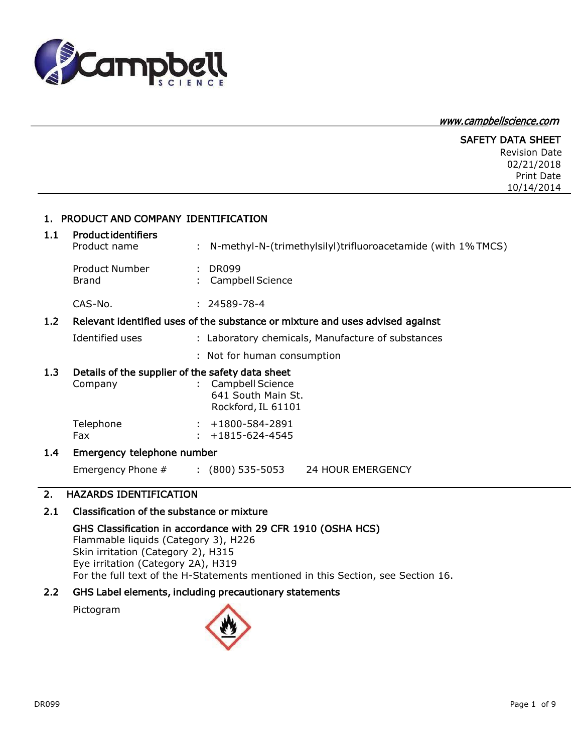

# [www.campbellscience.co](http://www.campbellscience.com/)<sup>m</sup>

|     |                                                                            |                                                                               | <b>SAFETY DATA SHEET</b><br><b>Revision Date</b><br>02/21/2018<br>Print Date<br>10/14/2014 |
|-----|----------------------------------------------------------------------------|-------------------------------------------------------------------------------|--------------------------------------------------------------------------------------------|
|     | 1. PRODUCT AND COMPANY IDENTIFICATION                                      |                                                                               |                                                                                            |
| 1.1 | <b>Productidentifiers</b><br>Product name                                  | N-methyl-N-(trimethylsilyl)trifluoroacetamide (with 1% TMCS)                  |                                                                                            |
|     | <b>Product Number</b><br><b>Brand</b>                                      | <b>DR099</b><br>Campbell Science                                              |                                                                                            |
|     | CAS-No.                                                                    | $: 24589 - 78 - 4$                                                            |                                                                                            |
| 1.2 |                                                                            | Relevant identified uses of the substance or mixture and uses advised against |                                                                                            |
|     | Identified uses                                                            | : Laboratory chemicals, Manufacture of substances                             |                                                                                            |
|     |                                                                            | : Not for human consumption                                                   |                                                                                            |
| 1.3 | Details of the supplier of the safety data sheet<br>Company                | <b>Campbell Science</b><br>641 South Main St.<br>Rockford, IL 61101           |                                                                                            |
|     | Telephone<br>Fax                                                           | +1800-584-2891<br>+1815-624-4545                                              |                                                                                            |
| 1.4 | Emergency telephone number                                                 |                                                                               |                                                                                            |
|     | Emergency Phone #                                                          | $(800)$ 535-5053<br>24 HOUR EMERGENCY                                         |                                                                                            |
| 2.  | <b>HAZARDS IDENTIFICATION</b>                                              |                                                                               |                                                                                            |
| 2.1 | Classification of the substance or mixture                                 |                                                                               |                                                                                            |
|     | Flammable liquids (Category 3), H226<br>Skin irritation (Category 2), H315 | GHS Classification in accordance with 29 CFR 1910 (OSHA HCS)                  |                                                                                            |

Eye irritation (Category 2A), H319 For the full text of the H-Statements mentioned in this Section, see Section 16.

# 2.2 GHS Label elements, including precautionary statements

Pictogram

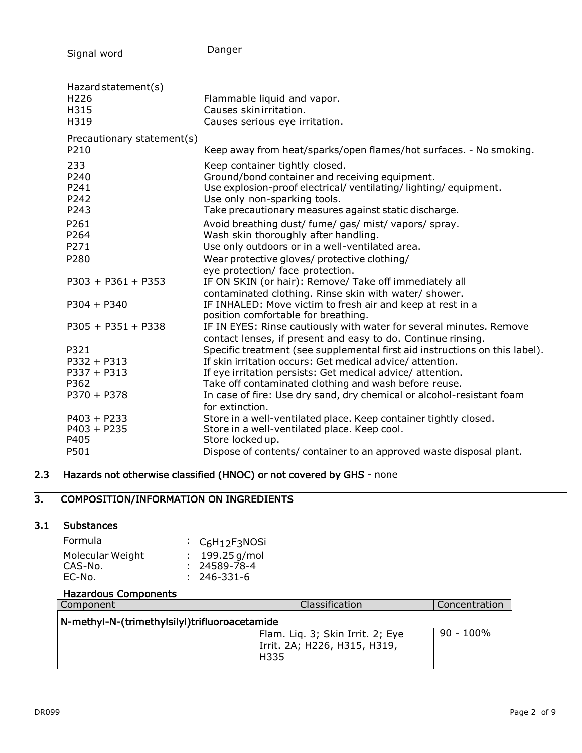Signal word

Danger

| Hazard statement(s)<br>H <sub>226</sub><br>H315<br>H319       | Flammable liquid and vapor.<br>Causes skin irritation.<br>Causes serious eye irritation.                                                                                                                                                                                                                                                |
|---------------------------------------------------------------|-----------------------------------------------------------------------------------------------------------------------------------------------------------------------------------------------------------------------------------------------------------------------------------------------------------------------------------------|
| Precautionary statement(s)<br>P210                            | Keep away from heat/sparks/open flames/hot surfaces. - No smoking.                                                                                                                                                                                                                                                                      |
| 233<br>P240<br>P241<br>P242<br>P243                           | Keep container tightly closed.<br>Ground/bond container and receiving equipment.<br>Use explosion-proof electrical/ventilating/lighting/equipment.<br>Use only non-sparking tools.<br>Take precautionary measures against static discharge.                                                                                             |
| P261<br>P264<br>P271                                          | Avoid breathing dust/ fume/ gas/ mist/ vapors/ spray.<br>Wash skin thoroughly after handling.<br>Use only outdoors or in a well-ventilated area.                                                                                                                                                                                        |
| P280                                                          | Wear protective gloves/ protective clothing/<br>eye protection/ face protection.                                                                                                                                                                                                                                                        |
| $P303 + P361 + P353$                                          | IF ON SKIN (or hair): Remove/ Take off immediately all<br>contaminated clothing. Rinse skin with water/ shower.                                                                                                                                                                                                                         |
| $P304 + P340$                                                 | IF INHALED: Move victim to fresh air and keep at rest in a<br>position comfortable for breathing.                                                                                                                                                                                                                                       |
| $P305 + P351 + P338$                                          | IF IN EYES: Rinse cautiously with water for several minutes. Remove<br>contact lenses, if present and easy to do. Continue rinsing.                                                                                                                                                                                                     |
| P321<br>P332 + P313<br>$P337 + P313$<br>P362<br>$P370 + P378$ | Specific treatment (see supplemental first aid instructions on this label).<br>If skin irritation occurs: Get medical advice/attention.<br>If eye irritation persists: Get medical advice/ attention.<br>Take off contaminated clothing and wash before reuse.<br>In case of fire: Use dry sand, dry chemical or alcohol-resistant foam |
| $P403 + P233$<br>$P403 + P235$<br>P405<br>P501                | for extinction.<br>Store in a well-ventilated place. Keep container tightly closed.<br>Store in a well-ventilated place. Keep cool.<br>Store locked up.<br>Dispose of contents/ container to an approved waste disposal plant.                                                                                                          |

# 2.3 Hazards not otherwise classified (HNOC) or not covered by GHS - none

# 3. COMPOSITION/INFORMATION ON INGREDIENTS

# 3.1 Substances

| Formula          | $\cdot$ C <sub>6</sub> H <sub>12</sub> F <sub>3</sub> NOSi |
|------------------|------------------------------------------------------------|
| Molecular Weight | $: 199.25$ g/mol                                           |
| CAS-No.          | $: 24589 - 78 - 4$                                         |
| EC-No.           | $: 246 - 331 - 6$                                          |

# Hazardous Components

| Component                                     | Classification                                                           | l Concentration |
|-----------------------------------------------|--------------------------------------------------------------------------|-----------------|
| N-methyl-N-(trimethylsilyl)trifluoroacetamide |                                                                          |                 |
|                                               | Flam. Liq. 3; Skin Irrit. 2; Eye<br>Irrit. 2A; H226, H315, H319,<br>H335 | $90 - 100\%$    |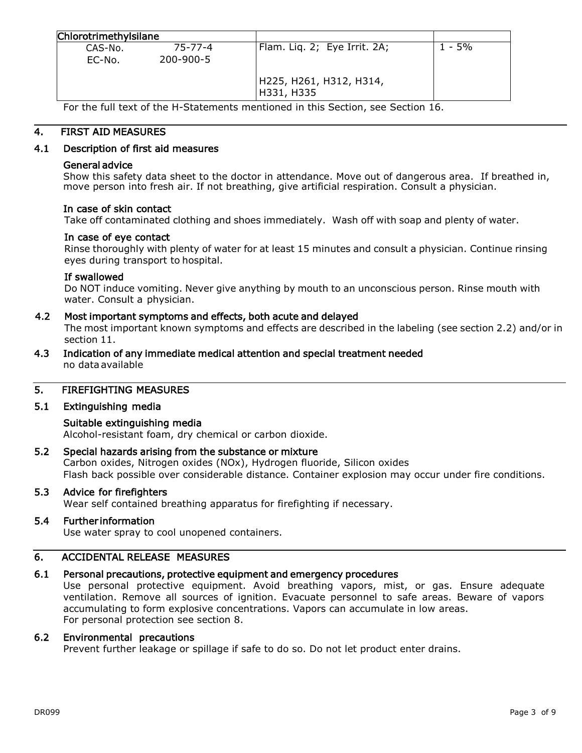| Chlorotrimethylsilane |                      |                                       |        |
|-----------------------|----------------------|---------------------------------------|--------|
| CAS-No.<br>EC-No.     | 75-77-4<br>200-900-5 | Flam. Liq. 2; Eye Irrit. 2A;          | 1 - 5% |
|                       |                      | H225, H261, H312, H314,<br>H331, H335 |        |

For the full text of the H-Statements mentioned in this Section, see Section 16.

# 4. FIRST AID MEASURES

# 4.1 Description of first aid measures

### General advice

Show this safety data sheet to the doctor in attendance. Move out of dangerous area. If breathed in, move person into fresh air. If not breathing, give artificial respiration. Consult a physician.

### In case of skin contact

Take off contaminated clothing and shoes immediately. Wash off with soap and plenty of water.

# In case of eye contact

Rinse thoroughly with plenty of water for at least 15 minutes and consult a physician. Continue rinsing eyes during transport to hospital.

### If swallowed

Do NOT induce vomiting. Never give anything by mouth to an unconscious person. Rinse mouth with water. Consult a physician.

# 4.2 Most important symptoms and effects, both acute and delayed

The most important known symptoms and effects are described in the labeling (see section 2.2) and/or in section 11.

4.3 Indication of any immediate medical attention and special treatment needed no data available

# 5. FIREFIGHTING MEASURES

# 5.1 Extinguishing media

# Suitable extinguishing media

Alcohol-resistant foam, dry chemical or carbon dioxide.

# 5.2 Special hazards arising from the substance or mixture

Carbon oxides, Nitrogen oxides (NOx), Hydrogen fluoride, Silicon oxides Flash back possible over considerable distance. Container explosion may occur under fire conditions.

# 5.3 Advice for firefighters

Wear self contained breathing apparatus for firefighting if necessary.

# 5.4 Further information

Use water spray to cool unopened containers.

# 6. ACCIDENTAL RELEASE MEASURES

### 6.1 Personal precautions, protective equipment and emergency procedures

Use personal protective equipment. Avoid breathing vapors, mist, or gas. Ensure adequate ventilation. Remove all sources of ignition. Evacuate personnel to safe areas. Beware of vapors accumulating to form explosive concentrations. Vapors can accumulate in low areas. For personal protection see section 8.

### 6.2 Environmental precautions

Prevent further leakage or spillage if safe to do so. Do not let product enter drains.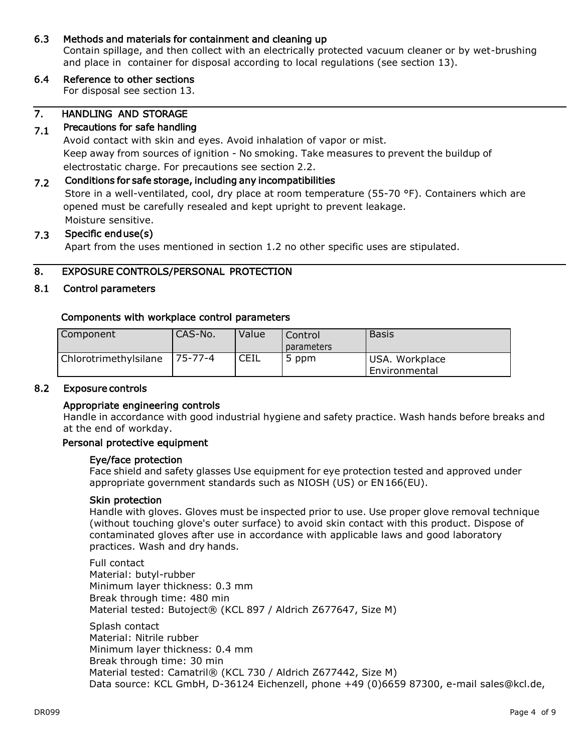# 6.3 Methods and materials for containment and cleaning up

Contain spillage, and then collect with an electrically protected vacuum cleaner or by wet-brushing and place in container for disposal according to local regulations (see section 13).

# 6.4 Reference to other sections

For disposal see section 13.

#### 7. HANDLING AND STORAGE

#### 7.1 Precautions for safe handling

Avoid contact with skin and eyes. Avoid inhalation of vapor or mist. Keep away from sources of ignition - No smoking. Take measures to prevent the buildup of electrostatic charge. For precautions see section 2.2.

#### 7.2 Conditions for safe storage, including any incompatibilities

Store in a well-ventilated, cool, dry place at room temperature (55-70 °F). Containers which are opened must be carefully resealed and kept upright to prevent leakage. Moisture sensitive.

#### 7.3 Specific end use(s)

Apart from the uses mentioned in section 1.2 no other specific uses are stipulated.

# 8. EXPOSURE CONTROLS/PERSONAL PROTECTION

# 8.1 Control parameters

# Components with workplace control parameters

| Component             | 'CAS-No.       | Value | Control<br><i>parameters</i> | <b>Basis</b>                    |
|-----------------------|----------------|-------|------------------------------|---------------------------------|
| Chlorotrimethylsilane | $175 - 77 - 4$ | CEIL  | 5 ppm                        | USA. Workplace<br>Environmental |

### 8.2 Exposure controls

# Appropriate engineering controls

Handle in accordance with good industrial hygiene and safety practice. Wash hands before breaks and at the end of workday.

### Personal protective equipment

### Eye/face protection

Face shield and safety glasses Use equipment for eye protection tested and approved under appropriate government standards such as NIOSH (US) or EN166(EU).

### Skin protection

Handle with gloves. Gloves must be inspected prior to use. Use proper glove removal technique (without touching glove's outer surface) to avoid skin contact with this product. Dispose of contaminated gloves after use in accordance with applicable laws and good laboratory practices. Wash and dry hands.

Full contact Material: butyl-rubber Minimum layer thickness: 0.3 mm Break through time: 480 min Material tested: Butoject® (KCL 897 / Aldrich Z677647, Size M)

Splash contact Material: Nitrile rubber Minimum layer thickness: 0.4 mm Break through time: 30 min Material tested: Camatril® (KCL 730 / Aldrich Z677442, Size M) Data source: KCL GmbH, D-36124 Eichenzell, phone +49 (0)6659 87300, e-mail [sales@kcl.de,](mailto:sales@kcl.de)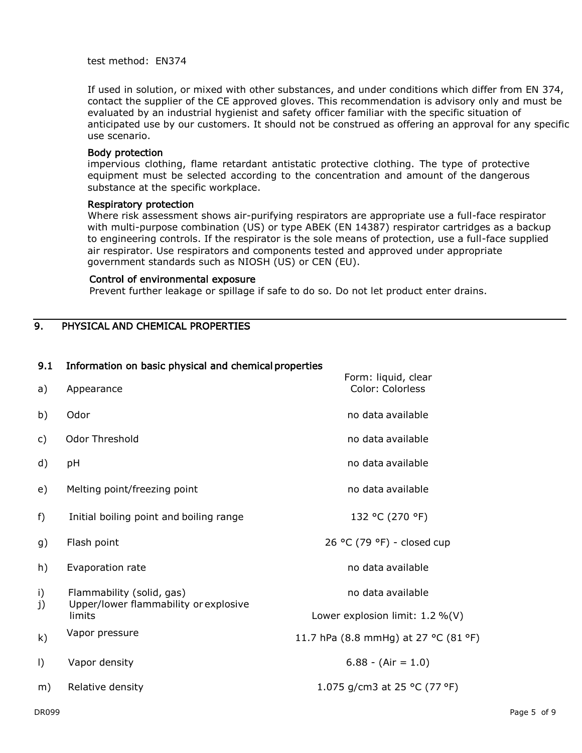test method: EN374

If used in solution, or mixed with other substances, and under conditions which differ from EN 374, contact the supplier of the CE approved gloves. This recommendation is advisory only and must be evaluated by an industrial hygienist and safety officer familiar with the specific situation of anticipated use by our customers. It should not be construed as offering an approval for any specific use scenario.

### Body protection

impervious clothing, flame retardant antistatic protective clothing. The type of protective equipment must be selected according to the concentration and amount of the dangerous substance at the specific workplace.

### Respiratory protection

Where risk assessment shows air-purifying respirators are appropriate use a full-face respirator with multi-purpose combination (US) or type ABEK (EN 14387) respirator cartridges as a backup to engineering controls. If the respirator is the sole means of protection, use a full-face supplied air respirator. Use respirators and components tested and approved under appropriate government standards such as NIOSH (US) or CEN (EU).

### Control of environmental exposure

Prevent further leakage or spillage if safe to do so. Do not let product enter drains.

# 9. PHYSICAL AND CHEMICAL PROPERTIES

# 9.1 Information on basic physical and chemical properties

| a)       | Appearance                                                         | Form: liquid, clear<br>Color: Colorless |
|----------|--------------------------------------------------------------------|-----------------------------------------|
| b)       | Odor                                                               | no data available                       |
| C)       | Odor Threshold                                                     | no data available                       |
| d)       | рH                                                                 | no data available                       |
| e)       | Melting point/freezing point                                       | no data available                       |
| f)       | Initial boiling point and boiling range                            | 132 °C (270 °F)                         |
| g)       | Flash point                                                        | 26 °C (79 °F) - closed cup              |
| h)       | Evaporation rate                                                   | no data available                       |
| i)<br>j) | Flammability (solid, gas)<br>Upper/lower flammability or explosive | no data available                       |
|          | limits                                                             | Lower explosion limit: $1.2\%$ (V)      |
| k)       | Vapor pressure                                                     | 11.7 hPa (8.8 mmHg) at 27 °C (81 °F)    |
| I)       | Vapor density                                                      | $6.88 - (Air = 1.0)$                    |
| m)       | Relative density                                                   | 1.075 g/cm3 at 25 °C (77 °F)            |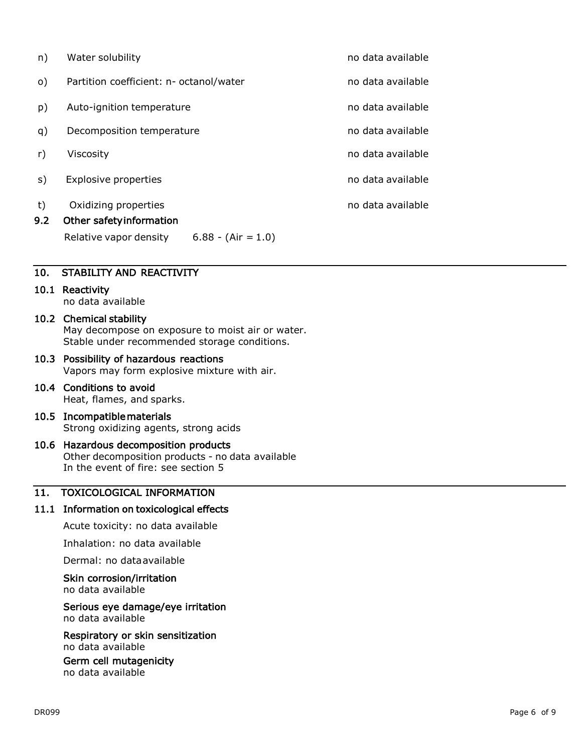| n)        | Water solubility                                                                                   | no data available |
|-----------|----------------------------------------------------------------------------------------------------|-------------------|
| $\circ$ ) | Partition coefficient: n- octanol/water                                                            | no data available |
| p)        | Auto-ignition temperature                                                                          | no data available |
| q)        | Decomposition temperature                                                                          | no data available |
| r)        | Viscosity                                                                                          | no data available |
| s)        | <b>Explosive properties</b>                                                                        | no data available |
| t)<br>9.2 | Oxidizing properties<br>Other safety information<br>Relative vapor density<br>$6.88 - (Air = 1.0)$ | no data available |
|           |                                                                                                    |                   |

# 10. STABILITY AND REACTIVITY

# 10.1 Reactivity

no data available

# 10.2 Chemical stability

May decompose on exposure to moist air or water. Stable under recommended storage conditions.

# 10.3 Possibility of hazardous reactions

Vapors may form explosive mixture with air.

# 10.4 Conditions to avoid Heat, flames, and sparks.

### 10.5 Incompatible materials Strong oxidizing agents, strong acids

# 10.6 Hazardous decomposition products Other decomposition products - no data available In the event of fire: see section 5

# 11. TOXICOLOGICAL INFORMATION

# 11.1 Information on toxicological effects

Acute toxicity: no data available

Inhalation: no data available

Dermal: no dataavailable

# Skin corrosion/irritation

no data available

# Serious eye damage/eye irritation

no data available

Respiratory or skin sensitization no data available

Germ cell mutagenicity no data available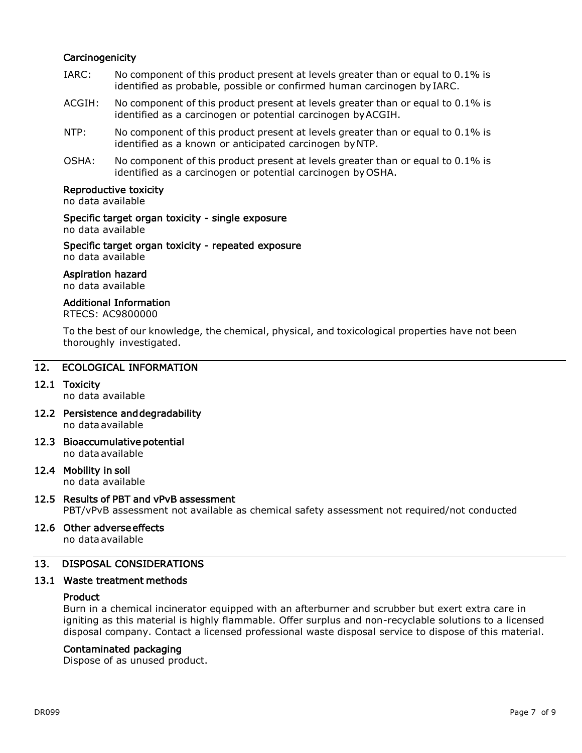# **Carcinogenicity**

- IARC: No component of this product present at levels greater than or equal to 0.1% is identified as probable, possible or confirmed human carcinogen by IARC.
- ACGIH: No component of this product present at levels greater than or equal to 0.1% is identified as a carcinogen or potential carcinogen byACGIH.
- NTP: No component of this product present at levels greater than or equal to 0.1% is identified as a known or anticipated carcinogen byNTP.
- OSHA: No component of this product present at levels greater than or equal to 0.1% is identified as a carcinogen or potential carcinogen byOSHA.

# Reproductive toxicity

no data available

# Specific target organ toxicity - single exposure

no data available

Specific target organ toxicity - repeated exposure no data available

# Aspiration hazard

no data available

# Additional Information

RTECS: AC9800000

To the best of our knowledge, the chemical, physical, and toxicological properties have not been thoroughly investigated.

# 12. ECOLOGICAL INFORMATION

# 12.1 Toxicity

no data available

- 12.2 Persistence and degradability no data available
- 12.3 Bioaccumulative potential no data available

# 12.4 Mobility in soil

no data available

# 12.5 Results of PBT and vPvB assessment

PBT/vPvB assessment not available as chemical safety assessment not required/not conducted

# 12.6 Other adverse effects

no data available

# 13. DISPOSAL CONSIDERATIONS

# 13.1 Waste treatment methods

# Product

Burn in a chemical incinerator equipped with an afterburner and scrubber but exert extra care in igniting as this material is highly flammable. Offer surplus and non-recyclable solutions to a licensed disposal company. Contact a licensed professional waste disposal service to dispose of this material.

# Contaminated packaging

Dispose of as unused product.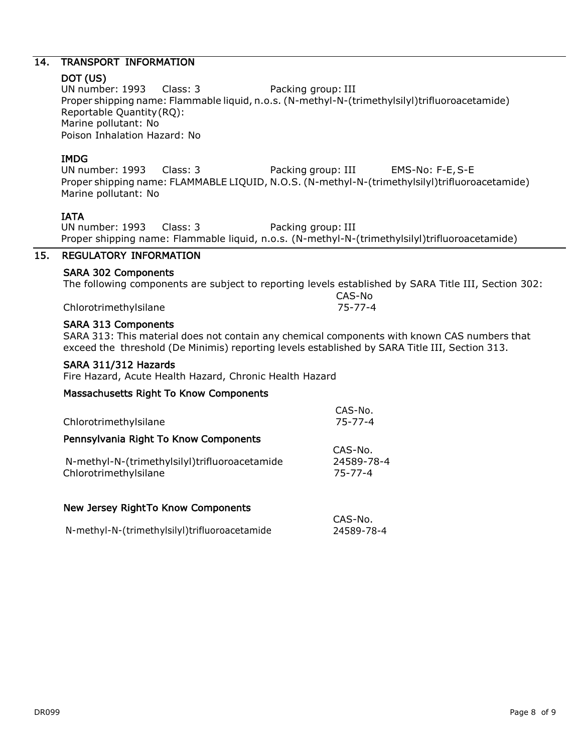# 14. TRANSPORT INFORMATION

# DOT (US)

UN number: 1993 Class: 3 Packing group: III Proper shipping name: Flammable liquid, n.o.s. (N-methyl-N-(trimethylsilyl)trifluoroacetamide) Reportable Quantity(RQ): Marine pollutant: No Poison Inhalation Hazard: No

# IMDG

UN number: 1993 Class: 3 Packing group: III EMS-No: F-E,S-E Proper shipping name: FLAMMABLE LIQUID, N.O.S. (N-methyl-N-(trimethylsilyl)trifluoroacetamide) Marine pollutant: No

# IATA

UN number: 1993 Class: 3 Packing group: III Proper shipping name: Flammable liquid, n.o.s. (N-methyl-N-(trimethylsilyl)trifluoroacetamide)

# 15. REGULATORY INFORMATION

# SARA 302 Components

The following components are subject to reporting levels established by SARA Title III, Section 302:

CAS-No

CAS-No.

Chlorotrimethylsilane 75-77-4

# SARA 313 Components

SARA 313: This material does not contain any chemical components with known CAS numbers that exceed the threshold (De Minimis) reporting levels established by SARA Title III, Section 313.

# SARA 311/312 Hazards

Fire Hazard, Acute Health Hazard, Chronic Health Hazard

# Massachusetts Right To Know Components

|                                               | CAS-No.    |  |
|-----------------------------------------------|------------|--|
| Chlorotrimethylsilane                         | 75-77-4    |  |
| Pennsylvania Right To Know Components         |            |  |
|                                               | CAS-No.    |  |
| N-methyl-N-(trimethylsilyl)trifluoroacetamide | 24589-78-4 |  |
| Chlorotrimethylsilane                         | 75-77-4    |  |
|                                               |            |  |
|                                               |            |  |

# New Jersey Right To Know Components

| N-methyl-N-(trimethylsilyl)trifluoroacetamide | 24589-78-4 |
|-----------------------------------------------|------------|